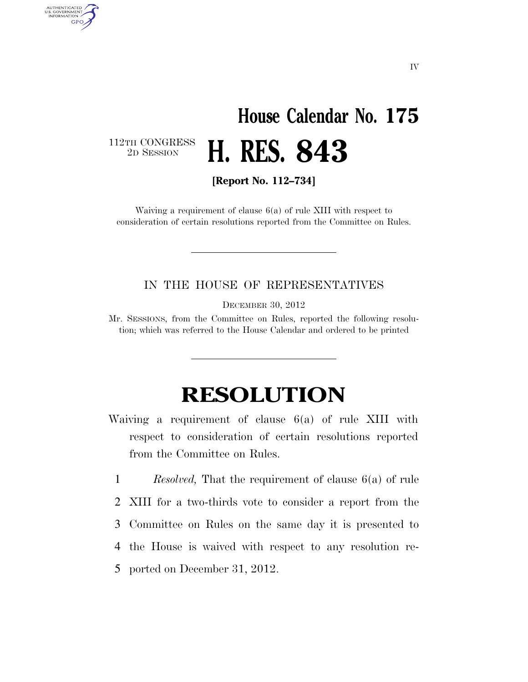## **House Calendar No. 175**  2D SESSION **H. RES. 843**

112TH CONGRESS<br>2D SESSION

AUTHENTICATED<br>U.S. GOVERNMENT<br>INFORMATION GPO

**[Report No. 112–734]** 

Waiving a requirement of clause 6(a) of rule XIII with respect to consideration of certain resolutions reported from the Committee on Rules.

## IN THE HOUSE OF REPRESENTATIVES

DECEMBER 30, 2012

Mr. SESSIONS, from the Committee on Rules, reported the following resolution; which was referred to the House Calendar and ordered to be printed

## **RESOLUTION**

Waiving a requirement of clause 6(a) of rule XIII with respect to consideration of certain resolutions reported from the Committee on Rules.

1 *Resolved,* That the requirement of clause 6(a) of rule

2 XIII for a two-thirds vote to consider a report from the

- 3 Committee on Rules on the same day it is presented to
- 4 the House is waived with respect to any resolution re-
- 5 ported on December 31, 2012.